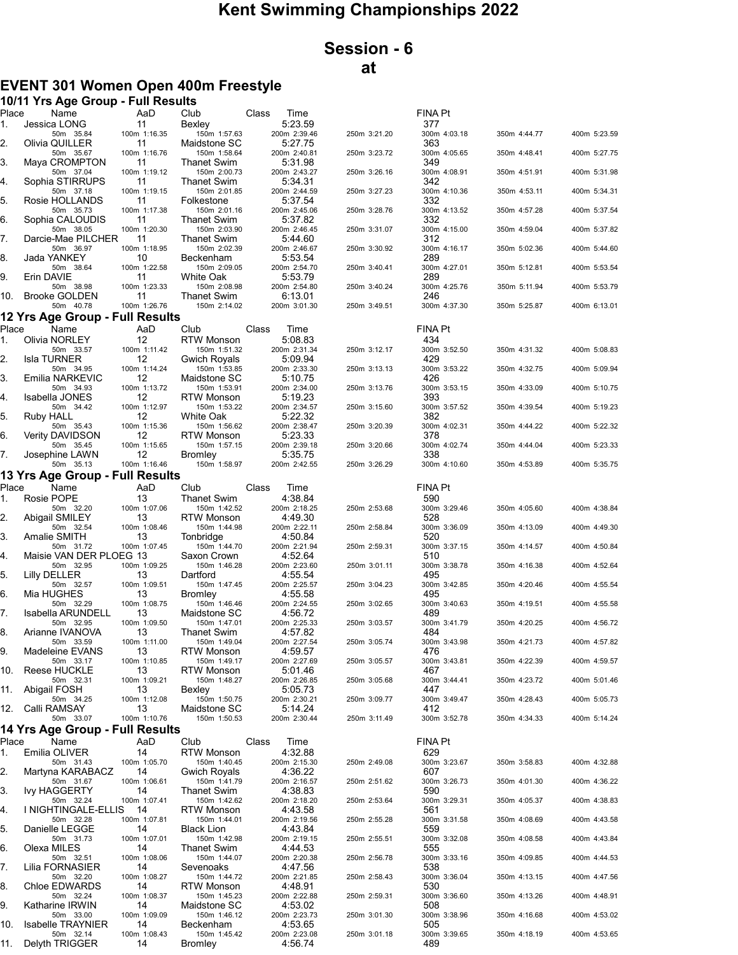## Kent Swimming Championships 2022

## Session - 6 at

## EVENT 301 Women Open 400m Freestyle

|             | 10/11 Yrs Age Group - Full Results           |                    |                                     |                          |              |                     |              |              |
|-------------|----------------------------------------------|--------------------|-------------------------------------|--------------------------|--------------|---------------------|--------------|--------------|
| Place<br>1. | Name<br>Jessica LONG                         | AaD<br>11          | Club<br>Bexley                      | Class<br>Time<br>5:23.59 |              | FINA Pt<br>377      |              |              |
| 2.          | 50m 35.84<br>Olivia QUILLER                  | 100m 1:16.35<br>11 | 150m 1:57.63<br>Maidstone SC        | 200m 2:39.46<br>5:27.75  | 250m 3:21.20 | 300m 4:03.18<br>363 | 350m 4:44.77 | 400m 5:23.59 |
| 3.          | 50m 35.67<br>Maya CROMPTON                   | 100m 1:16.76<br>11 | 150m 1:58.64<br><b>Thanet Swim</b>  | 200m 2:40.81<br>5:31.98  | 250m 3:23.72 | 300m 4:05.65<br>349 | 350m 4:48.41 | 400m 5:27.75 |
| 4.          | 50m 37.04<br>Sophia STIRRUPS                 | 100m 1:19.12<br>11 | 150m 2:00.73<br><b>Thanet Swim</b>  | 200m 2:43.27<br>5:34.31  | 250m 3:26.16 | 300m 4:08.91<br>342 | 350m 4:51.91 | 400m 5:31.98 |
| 5.          | 50m 37.18<br>Rosie HOLLANDS                  | 100m 1:19.15<br>11 | 150m 2:01.85<br>Folkestone          | 200m 2:44.59<br>5:37.54  | 250m 3:27.23 | 300m 4:10.36<br>332 | 350m 4:53.11 | 400m 5:34.31 |
| 6.          | 50m 35.73<br>Sophia CALOUDIS                 | 100m 1:17.38<br>11 | 150m 2:01.16<br><b>Thanet Swim</b>  | 200m 2:45.06<br>5:37.82  | 250m 3:28.76 | 300m 4:13.52<br>332 | 350m 4:57.28 | 400m 5:37.54 |
| 7.          | 50m 38.05<br>Darcie-Mae PILCHER              | 100m 1:20.30       | 150m 2:03.90                        | 200m 2:46.45             | 250m 3:31.07 | 300m 4:15.00        | 350m 4:59.04 | 400m 5:37.82 |
|             | 50m 36.97                                    | 11<br>100m 1:18.95 | Thanet Swim<br>150m 2:02.39         | 5:44.60<br>200m 2:46.67  | 250m 3:30.92 | 312<br>300m 4:16.17 | 350m 5:02.36 | 400m 5:44.60 |
| 8.          | Jada YANKEY<br>50m 38.64                     | 10<br>100m 1:22.58 | Beckenham<br>150m 2:09.05           | 5:53.54<br>200m 2:54.70  | 250m 3:40.41 | 289<br>300m 4:27.01 | 350m 5:12.81 | 400m 5:53.54 |
| 9.          | Erin DAVIE<br>50m 38.98                      | 11<br>100m 1:23.33 | White Oak<br>150m 2:08.98           | 5:53.79<br>200m 2:54.80  | 250m 3:40.24 | 289<br>300m 4:25.76 | 350m 5:11.94 | 400m 5:53.79 |
| 10.         | <b>Brooke GOLDEN</b><br>50m 40.78            | 11<br>100m 1:26.76 | <b>Thanet Swim</b><br>150m 2:14.02  | 6:13.01<br>200m 3:01.30  | 250m 3:49.51 | 246<br>300m 4:37.30 | 350m 5:25.87 | 400m 6:13.01 |
|             | 12 Yrs Age Group - Full Results              |                    |                                     |                          |              |                     |              |              |
| Place<br>1. | Name<br>Olivia NORLEY                        | AaD<br>12          | Club<br><b>RTW Monson</b>           | Class<br>Time<br>5:08.83 |              | FINA Pt<br>434      |              |              |
| 2.          | 50m 33.57<br><b>Isla TURNER</b>              | 100m 1:11.42<br>12 | 150m 1:51.32<br><b>Gwich Royals</b> | 200m 2:31.34<br>5:09.94  | 250m 3:12.17 | 300m 3:52.50<br>429 | 350m 4:31.32 | 400m 5:08.83 |
| 3.          | 50m 34.95<br>Emilia NARKEVIC                 | 100m 1:14.24<br>12 | 150m 1:53.85<br>Maidstone SC        | 200m 2:33.30             | 250m 3:13.13 | 300m 3:53.22<br>426 | 350m 4:32.75 | 400m 5:09.94 |
|             | 50m 34.93                                    | 100m 1:13.72       | 150m 1:53.91                        | 5:10.75<br>200m 2:34.00  | 250m 3:13.76 | 300m 3:53.15        | 350m 4:33.09 | 400m 5:10.75 |
| 4.          | Isabella JONES<br>50m 34.42                  | 12<br>100m 1:12.97 | <b>RTW Monson</b><br>150m 1:53.22   | 5:19.23<br>200m 2:34.57  | 250m 3:15.60 | 393<br>300m 3:57.52 | 350m 4:39.54 | 400m 5:19.23 |
| 5.          | Ruby HALL<br>50m 35.43                       | 12<br>100m 1:15.36 | White Oak<br>150m 1:56.62           | 5:22.32<br>200m 2:38.47  | 250m 3:20.39 | 382<br>300m 4:02.31 | 350m 4:44.22 | 400m 5:22.32 |
| 6.          | <b>Verity DAVIDSON</b><br>50m 35.45          | 12<br>100m 1:15.65 | <b>RTW Monson</b><br>150m 1:57.15   | 5:23.33<br>200m 2:39.18  | 250m 3:20.66 | 378<br>300m 4:02.74 | 350m 4:44.04 | 400m 5:23.33 |
| 7.          | Josephine LAWN<br>50m 35.13                  | 12<br>100m 1:16.46 | <b>Bromley</b><br>150m 1:58.97      | 5:35.75<br>200m 2:42.55  | 250m 3:26.29 | 338<br>300m 4:10.60 | 350m 4:53.89 | 400m 5:35.75 |
|             | 13 Yrs Age Group - Full Results              |                    |                                     |                          |              |                     |              |              |
| Place       | Name                                         | AaD                | Club                                | Class<br>Time            |              | <b>FINA Pt</b>      |              |              |
| 1.          | Rosie POPE<br>50m 32.20                      | 13<br>100m 1:07.06 | <b>Thanet Swim</b><br>150m 1:42.52  | 4:38.84<br>200m 2:18.25  | 250m 2:53.68 | 590<br>300m 3:29.46 | 350m 4:05.60 | 400m 4:38.84 |
| 2.          | Abigail SMILEY<br>50m 32.54                  | 13<br>100m 1:08.46 | <b>RTW Monson</b><br>150m 1:44.98   | 4:49.30<br>200m 2:22.11  | 250m 2:58.84 | 528<br>300m 3:36.09 | 350m 4:13.09 | 400m 4:49.30 |
| 3.          | Amalie SMITH<br>50m 31.72                    | 13<br>100m 1:07.45 | Tonbridge<br>150m 1:44.70           | 4:50.84<br>200m 2:21.94  | 250m 2:59.31 | 520<br>300m 3:37.15 | 350m 4:14.57 | 400m 4:50.84 |
| 4.          | Maisie VAN DER PLOEG 13<br>50m 32.95         | 100m 1:09.25       | Saxon Crown<br>150m 1:46.28         | 4:52.64<br>200m 2:23.60  | 250m 3:01.11 | 510<br>300m 3:38.78 | 350m 4:16.38 | 400m 4:52.64 |
| 5.          | <b>Lilly DELLER</b><br>50m 32.57             | 13<br>100m 1:09.51 | Dartford<br>150m 1:47.45            | 4:55.54<br>200m 2:25.57  | 250m 3:04.23 | 495<br>300m 3:42.85 | 350m 4:20.46 | 400m 4:55.54 |
| 6.          | Mia HUGHES<br>50m 32.29                      | 13<br>100m 1:08.75 | Bromley<br>150m 1:46.46             | 4:55.58<br>200m 2:24.55  | 250m 3:02.65 | 495<br>300m 3:40.63 | 350m 4:19.51 | 400m 4:55.58 |
| 7.          | Isabella ARUNDELL                            | 13                 | Maidstone SC                        | 4:56.72                  |              | 489                 |              |              |
| 8.          | 50m 32.95<br>Arianne IVANOVA                 | 100m 1:09.50<br>13 | 150m 1:47.01<br>Thanet Swim         | 200m 2:25.33<br>4 57 82  | 250m 3:03.57 | 300m 3:41.79<br>484 | 350m 4:20.25 | 400m 4:56.72 |
| 9.          | 50m 33.59<br>Madeleine EVANS                 | 100m 1:11.00<br>13 | 150m 1:49.04<br>RTW Monson          | 200m 2:27.54<br>4:59.57  | 250m 3:05.74 | 300m 3:43.98<br>476 | 350m 4:21.73 | 400m 4:57.82 |
| 10.         | 50m 33.17<br><b>Reese HUCKLE</b>             | 100m 1:10.85<br>13 | 150m 1:49.17<br>RTW Monson          | 200m 2:27.69<br>5:01.46  | 250m 3:05.57 | 300m 3:43.81<br>467 | 350m 4:22.39 | 400m 4:59.57 |
| 11.         | 50m 32.31<br>Abigail FOSH                    | 100m 1:09.21<br>13 | 150m 1:48.27<br>Bexley              | 200m 2:26.85<br>5:05.73  | 250m 3:05.68 | 300m 3:44.41<br>447 | 350m 4:23.72 | 400m 5:01.46 |
| 12.         | 50m 34.25<br>Calli RAMSAY                    | 100m 1:12.08<br>13 | 150m 1:50.75<br>Maidstone SC        | 200m 2:30.21<br>5:14.24  | 250m 3:09.77 | 300m 3:49.47<br>412 | 350m 4:28.43 | 400m 5:05.73 |
|             | 50m 33.07<br>14 Yrs Age Group - Full Results | 100m 1:10.76       | 150m 1:50.53                        | 200m 2:30.44             | 250m 3:11.49 | 300m 3:52.78        | 350m 4:34.33 | 400m 5:14.24 |
| Place       | Name                                         | AaD                | Club                                | Class<br>Time            |              | FINA Pt             |              |              |
| 1.          | Emilia OLIVER                                | 14                 | <b>RTW Monson</b>                   | 4:32.88                  |              | 629                 |              |              |
| 2.          | 50m 31.43<br>Martyna KARABACZ                | 100m 1:05.70<br>14 | 150m 1:40.45<br>Gwich Royals        | 200m 2:15.30<br>4:36.22  | 250m 2:49.08 | 300m 3:23.67<br>607 | 350m 3:58.83 | 400m 4:32.88 |
| 3.          | 50m 31.67<br><b>Ivy HAGGERTY</b>             | 100m 1:06.61<br>14 | 150m 1:41.79<br><b>Thanet Swim</b>  | 200m 2:16.57<br>4:38.83  | 250m 2:51.62 | 300m 3:26.73<br>590 | 350m 4:01.30 | 400m 4:36.22 |
| 4.          | 50m 32.24<br>I NIGHTINGALE-ELLIS             | 100m 1:07.41<br>14 | 150m 1:42.62<br><b>RTW Monson</b>   | 200m 2:18.20<br>4:43.58  | 250m 2:53.64 | 300m 3:29.31<br>561 | 350m 4:05.37 | 400m 4:38.83 |
| 5.          | 50m 32.28<br>Danielle LEGGE                  | 100m 1:07.81<br>14 | 150m 1:44.01<br><b>Black Lion</b>   | 200m 2:19.56<br>4:43.84  | 250m 2:55.28 | 300m 3:31.58<br>559 | 350m 4:08.69 | 400m 4:43.58 |
|             | 50m 31.73<br>Olexa MILES                     | 100m 1:07.01       | 150m 1:42.98                        | 200m 2:19.15<br>4:44.53  | 250m 2:55.51 | 300m 3:32.08        | 350m 4:08.58 | 400m 4:43.84 |
| 6.          | 50m 32.51                                    | 14<br>100m 1:08.06 | Thanet Swim<br>150m 1:44.07         | 200m 2:20.38             | 250m 2:56.78 | 555<br>300m 3:33.16 | 350m 4:09.85 | 400m 4:44.53 |
| 7.          | Lilia FORNASIER<br>50m 32.20                 | 14<br>100m 1:08.27 | Sevenoaks<br>150m 1:44.72           | 4:47.56<br>200m 2:21.85  | 250m 2:58.43 | 538<br>300m 3:36.04 | 350m 4:13.15 | 400m 4:47.56 |
| 8.          | Chloe EDWARDS<br>50m 32.24                   | 14<br>100m 1:08.37 | RTW Monson<br>150m 1:45.23          | 4:48.91<br>200m 2:22.88  | 250m 2:59.31 | 530<br>300m 3:36.60 | 350m 4:13.26 | 400m 4:48.91 |
| 9.          | Katharine IRWIN<br>50m 33.00                 | 14<br>100m 1:09.09 | Maidstone SC<br>150m 1:46.12        | 4:53.02<br>200m 2:23.73  | 250m 3:01.30 | 508<br>300m 3:38.96 | 350m 4:16.68 | 400m 4:53.02 |
| 10.         | <b>Isabelle TRAYNIER</b><br>50m 32.14        | 14<br>100m 1:08.43 | Beckenham<br>150m 1:45.42           | 4:53.65<br>200m 2:23.08  | 250m 3:01.18 | 505<br>300m 3:39.65 | 350m 4:18.19 | 400m 4:53.65 |
| 11.         | Delyth TRIGGER                               | 14                 | Bromley                             | 4:56.74                  |              | 489                 |              |              |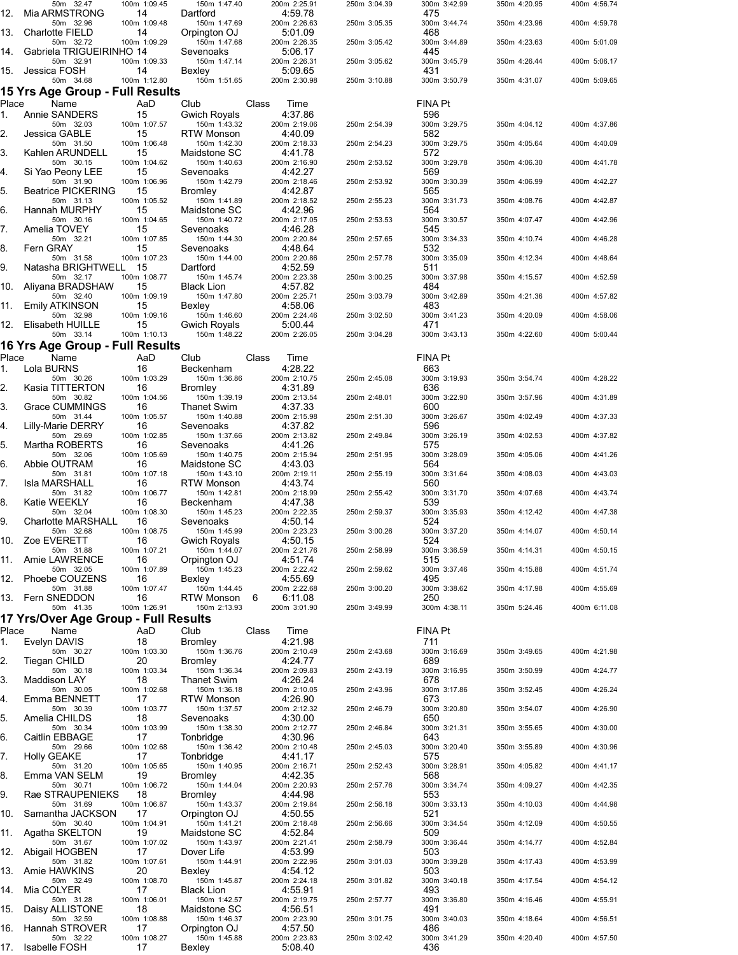| 12.         | 50m 32.47<br>Mia ARMSTRONG                   | 100m 1:09.45<br>14                 | 150m 1:47.40<br>Dartford             | 200m 2:25.91<br>4:59.78      | 250m 3:04.39 | 300m 3:42.99<br>475   | 350m 4:20.95 | 400m 4:56.74 |
|-------------|----------------------------------------------|------------------------------------|--------------------------------------|------------------------------|--------------|-----------------------|--------------|--------------|
| 13.         | 50m 32.96<br><b>Charlotte FIELD</b>          | 100m 1:09.48<br>14                 | 150m 1:47.69<br>Orpington OJ         | 200m 2:26.63<br>5:01.09      | 250m 3:05.35 | 300m 3:44.74<br>468   | 350m 4:23.96 | 400m 4:59.78 |
| 14.         | 50m 32.72<br>Gabriela TRIGUEIRINHO 14        | 100m 1:09.29                       | 150m 1:47.68<br>Sevenoaks            | 200m 2:26.35<br>5:06.17      | 250m 3:05.42 | 300m 3:44.89<br>445   | 350m 4:23.63 | 400m 5:01.09 |
| 15.         | 50m 32.91<br>Jessica FOSH                    | 100m 1:09.33<br>14                 | 150m 1:47.14<br>Bexley               | 200m 2:26.31<br>5:09.65      | 250m 3:05.62 | 300m 3:45.79<br>431   | 350m 4:26.44 | 400m 5:06.17 |
|             | 50m 34.68                                    | 100m 1:12.80                       | 150m 1:51.65                         | 200m 2:30.98                 | 250m 3:10.88 | 300m 3:50.79          | 350m 4:31.07 | 400m 5:09.65 |
| Place       | 15 Yrs Age Group - Full Results<br>Name      | AaD                                | Club                                 | Class<br>Time                |              | <b>FINA Pt</b>        |              |              |
| 1.          | Annie SANDERS<br>50m 32.03                   | 15<br>100m 1:07.57                 | <b>Gwich Royals</b><br>150m 1:43.32  | 4:37.86<br>200m 2:19.06      | 250m 2:54.39 | 596<br>300m 3:29.75   | 350m 4:04.12 | 400m 4:37.86 |
| 2.          | Jessica GABLE<br>50m 31.50                   | 15<br>100m 1:06.48                 | <b>RTW Monson</b><br>150m 1:42.30    | 4:40.09<br>200m 2:18.33      | 250m 2:54.23 | 582<br>300m 3:29.75   | 350m 4:05.64 | 400m 4:40.09 |
| 3.          | Kahlen ARUNDELL<br>50m 30.15                 | 15<br>100m 1:04.62                 | Maidstone SC<br>150m 1:40.63         | 4 41 78<br>200m 2:16.90      | 250m 2:53.52 | 572<br>300m 3:29.78   | 350m 4:06.30 | 400m 4:41.78 |
| 4.          | Si Yao Peony LEE<br>50m 31.90                | 15<br>100m 1:06.96                 | Sevenoaks<br>150m 1:42.79            | 4:42.27<br>200m 2:18.46      | 250m 2:53.92 | 569<br>300m 3:30.39   | 350m 4:06.99 | 400m 4:42.27 |
| 5.          | <b>Beatrice PICKERING</b><br>50m 31.13       | 15<br>100m 1:05.52                 | <b>Bromley</b><br>150m 1:41.89       | 4:42.87<br>200m 2:18.52      | 250m 2:55.23 | 565<br>300m 3:31.73   | 350m 4:08.76 | 400m 4:42.87 |
| 6.          | Hannah MURPHY<br>50m 30.16                   | 15<br>100m 1:04.65                 | Maidstone SC<br>150m 1:40.72         | 4:42.96<br>200m 2:17.05      | 250m 2:53.53 | 564<br>300m 3:30.57   | 350m 4:07.47 | 400m 4:42.96 |
| 7.          | Amelia TOVEY<br>50m 32.21                    | 15<br>100m 1:07.85                 | Sevenoaks<br>150m 1:44.30            | 4:46.28<br>200m 2:20.84      | 250m 2:57.65 | 545<br>300m 3:34.33   | 350m 4:10.74 | 400m 4:46.28 |
| 8.          | <b>Fern GRAY</b><br>50m 31.58                | 15<br>100m 1:07.23                 | Sevenoaks<br>150m 1:44.00            | 4:48.64<br>200m 2:20.86      | 250m 2:57.78 | 532<br>300m 3:35.09   | 350m 4:12.34 | 400m 4:48.64 |
| 9.          | Natasha BRIGHTWELL<br>50m 32.17              | -15<br>100m 1:08.77                | Dartford<br>150m 1:45.74             | 4:52.59<br>200m 2:23.38      | 250m 3:00.25 | 511<br>300m 3:37.98   | 350m 4:15.57 | 400m 4:52.59 |
| 10.         | Aliyana BRADSHAW<br>50m 32.40                | 15<br>100m 1:09.19                 | <b>Black Lion</b><br>150m 1:47.80    | 4:57.82<br>200m 2:25.71      | 250m 3:03.79 | 484<br>300m 3:42.89   | 350m 4:21.36 | 400m 4:57.82 |
| 11.         | Emily ATKINSON<br>50m 32.98                  | 15<br>100m 1:09.16                 | Bexley<br>150m 1:46.60               | 4:58.06<br>200m 2:24.46      | 250m 3:02.50 | 483<br>300m 3:41.23   | 350m 4:20.09 | 400m 4:58.06 |
| 12.         | Elisabeth HUILLE<br>50m 33.14                | 15<br>100m 1:10.13                 | <b>Gwich Royals</b><br>150m 1:48.22  | 5:00.44<br>200m 2:26.05      | 250m 3:04.28 | 471<br>300m 3:43.13   | 350m 4:22.60 | 400m 5:00.44 |
|             | 16 Yrs Age Group - Full Results              |                                    |                                      |                              |              |                       |              |              |
| Place<br>1. | Name<br>Lola BURNS                           | AaD<br>16                          | Club<br>Beckenham                    | Class<br>Time<br>4:28.22     |              | <b>FINA Pt</b><br>663 |              |              |
| 2.          | 50m 30.26<br>Kasia TITTERTON                 | 100m 1:03.29<br>16                 | 150m 1:36.86<br><b>Bromley</b>       | 200m 2:10.75<br>4:31.89      | 250m 2:45.08 | 300m 3:19.93<br>636   | 350m 3:54.74 | 400m 4:28.22 |
| 3.          | 50m 30.82<br>Grace CUMMINGS                  | 100m 1:04.56<br>16                 | 150m 1:39.19<br>Thanet Swim          | 200m 2:13.54<br>4:37.33      | 250m 2:48.01 | 300m 3:22.90<br>600   | 350m 3:57.96 | 400m 4:31.89 |
| 4.          | 50m 31.44<br>Lilly-Marie DERRY               | 100m 1:05.57<br>16                 | 150m 1:40.88<br>Sevenoaks            | 200m 2:15.98<br>4:37.82      | 250m 2:51.30 | 300m 3:26.67<br>596   | 350m 4:02.49 | 400m 4:37.33 |
| 5.          | 50m 29.69<br>Martha ROBERTS                  | 100m 1:02.85<br>16                 | 150m 1:37.66<br>Sevenoaks            | 200m 2:13.82<br>4:41.26      | 250m 2:49.84 | 300m 3:26.19<br>575   | 350m 4:02.53 | 400m 4:37.82 |
| 6.          | 50m 32.06<br>Abbie OUTRAM                    | 100m 1:05.69<br>16                 | 150m 1:40.75<br>Maidstone SC         | 200m 2:15.94<br>4:43.03      | 250m 2:51.95 | 300m 3:28.09<br>564   | 350m 4:05.06 | 400m 4:41.26 |
| 7.          | 50m 31.81<br>Isla MARSHALL                   | 100m 1:07.18<br>16                 | 150m 1:43.10<br><b>RTW Monson</b>    | 200m 2:19.11<br>4:43.74      | 250m 2:55.19 | 300m 3:31.64<br>560   | 350m 4:08.03 | 400m 4:43.03 |
| 8.          | 50m 31.82<br>Katie WEEKLY                    | 100m 1:06.77<br>16                 | 150m 1:42.81<br>Beckenham            | 200m 2:18.99<br>4:47.38      | 250m 2:55.42 | 300m 3:31.70<br>539   | 350m 4:07.68 | 400m 4:43.74 |
| 9.          | 50m 32.04<br><b>Charlotte MARSHALL</b>       | 100m 1:08.30<br>16                 | 150m 1:45.23<br>Sevenoaks            | 200m 2:22.35<br>4:50.14      | 250m 2:59.37 | 300m 3:35.93<br>524   | 350m 4:12.42 | 400m 4:47.38 |
| 10.         | 50m 32.68<br>Zoe EVERETT                     | 100m 1:08.75<br>16                 | 150m 1:45.99<br><b>Gwich Royals</b>  | 200m 2:23.23<br>4:50.15      | 250m 3:00.26 | 300m 3:37.20<br>524   | 350m 4:14.07 | 400m 4:50.14 |
| 11.         | 50m 31.88<br>Amie LAWRENCE                   | 100m 1:07.21<br>16                 | 150m 1:44.07<br>Orpinaton OJ         | 200m 2:21.76<br>4:51.74      | 250m 2:58.99 | 300m 3:36.59<br>515   | 350m 4:14.31 | 400m 4:50.15 |
| 12.         | 50m 32.05<br>Phoebe COUZENS                  | 100m 1:07.89<br>16                 | 150m 1:45.23                         | 200m 2:22.42<br>4:55.69      | 250m 2:59.62 | 300m 3:37.46<br>495   | 350m 4:15.88 | 400m 4:51.74 |
|             | 50m 31.88<br>Fern SNEDDON                    | 100m 1:07.47                       | Bexley<br>150m 1:44.45<br>RTW Monson | 200m 2:22.68                 | 250m 3:00.20 | 300m 3:38.62          | 350m 4:17.98 | 400m 4:55.69 |
| 13.         | 50m 41.35                                    | 16<br>100m 1:26.91                 | 150m 2:13.93                         | 6<br>6:11.08<br>200m 3:01.90 | 250m 3:49.99 | 250<br>300m 4:38.11   | 350m 5:24.46 | 400m 6:11.08 |
| Place       | 17 Yrs/Over Age Group - Full Results<br>Name | AaD                                | Club                                 | Class<br>Time                |              | FINA Pt               |              |              |
| 1.          | Evelyn DAVIS<br>50m 30.27                    | 18<br>100m 1:03.30                 | Bromley<br>150m 1:36.76              | 4:21.98<br>200m 2:10.49      | 250m 2:43.68 | 711<br>300m 3:16.69   | 350m 3:49.65 | 400m 4:21.98 |
| 2.          | Tiegan CHILD<br>50m 30.18                    | 20<br>100m 1:03.34                 | <b>Bromley</b><br>150m 1:36.34       | 4:24.77<br>200m 2:09.83      | 250m 2:43.19 | 689<br>300m 3:16.95   | 350m 3:50.99 | 400m 4:24.77 |
| 3.          | Maddison LAY<br>50m 30.05                    | 18<br>100m 1:02.68                 | Thanet Swim<br>150m 1:36.18          | 4:26.24<br>200m 2:10.05      | 250m 2:43.96 | 678<br>300m 3:17.86   | 350m 3:52.45 | 400m 4:26.24 |
| 4.          | Emma BENNETT<br>50m 30.39                    | 17<br>100m 1:03.77                 | RTW Monson<br>150m 1:37.57           | 4:26.90<br>200m 2:12.32      | 250m 2:46.79 | 673<br>300m 3:20.80   | 350m 3:54.07 | 400m 4:26.90 |
| 5.          | Amelia CHILDS<br>50m 30.34                   | 18<br>100m 1:03.99                 | Sevenoaks<br>150m 1:38.30            | 4:30.00<br>200m 2:12.77      | 250m 2:46.84 | 650<br>300m 3:21.31   | 350m 3:55.65 | 400m 4:30.00 |
| 6.          | Caitlin EBBAGE<br>50m 29.66                  | 17<br>100m 1:02.68                 | Tonbridge<br>150m 1:36.42            | 4:30.96<br>200m 2:10.48      | 250m 2:45.03 | 643<br>300m 3:20.40   | 350m 3:55.89 | 400m 4:30.96 |
| 7.          | <b>Holly GEAKE</b><br>50m 31.20              | 17<br>100m 1:05.65                 | Tonbridge<br>150m 1:40.95            | 4 41 17<br>200m 2:16.71      | 250m 2:52.43 | 575<br>300m 3:28.91   | 350m 4:05.82 | 400m 4:41.17 |
| 8.          | Emma VAN SELM<br>50m 30.71                   | 19<br>100m 1:06.72                 | Bromley<br>150m 1:44.04              | 4:42.35<br>200m 2:20.93      | 250m 2:57.76 | 568<br>300m 3:34.74   | 350m 4:09.27 | 400m 4:42.35 |
| 9.          | Rae STRAUPENIEKS<br>50m 31.69                | 18<br>100m 1:06.87                 | Bromley<br>150m 1:43.37              | 4 44 98<br>200m 2:19.84      | 250m 2:56.18 | 553<br>300m 3:33.13   | 350m 4:10.03 | 400m 4:44.98 |
| 10.         | Samantha JACKSON                             | 17                                 | Orpington OJ                         | 4:50.55                      |              | 521                   |              |              |
| 11.         | 50m 30.40<br>Agatha SKELTON                  | 100m 1:04.91<br>19<br>100m 1:07.02 | 150m 1:41.21<br>Maidstone SC         | 200m 2:18.48<br>4:52.84      | 250m 2:56.66 | 300m 3:34.54<br>509   | 350m 4:12.09 | 400m 4:50.55 |
| 12.         | 50m 31.67<br>Abigail HOGBEN                  | 17                                 | 150m 1:43.97<br>Dover Life           | 200m 2:21.41<br>4:53.99      | 250m 2:58.79 | 300m 3:36.44<br>503   | 350m 4:14.77 | 400m 4:52.84 |
| 13.         | 50m 31.82<br>Amie HAWKINS                    | 100m 1:07.61<br>20                 | 150m 1:44.91<br>Bexley               | 200m 2:22.96<br>4:54.12      | 250m 3:01.03 | 300m 3:39.28<br>503   | 350m 4:17.43 | 400m 4:53.99 |
| 14.         | 50m 32.49<br>Mia COLYER                      | 100m 1:08.70<br>17                 | 150m 1:45.87<br><b>Black Lion</b>    | 200m 2:24.18<br>4:55.91      | 250m 3:01.82 | 300m 3:40.18<br>493   | 350m 4:17.54 | 400m 4:54.12 |
| 15.         | 50m 31.28<br>Daisy ALLISTONE                 | 100m 1:06.01<br>18                 | 150m 1:42.57<br>Maidstone SC         | 200m 2:19.75<br>4:56.51      | 250m 2:57.77 | 300m 3:36.80<br>491   | 350m 4:16.46 | 400m 4:55.91 |
| 16.         | 50m 32.59<br>Hannah STROVER                  | 100m 1:08.88<br>17                 | 150m 1:46.37<br>Orpington OJ         | 200m 2:23.90<br>4:57.50      | 250m 3:01.75 | 300m 3:40.03<br>486   | 350m 4:18.64 | 400m 4:56.51 |
| 17.         | 50m 32.22<br><b>Isabelle FOSH</b>            | 100m 1:08.27<br>17                 | 150m 1:45.88<br>Bexley               | 200m 2:23.83<br>5:08.40      | 250m 3:02.42 | 300m 3:41.29<br>436   | 350m 4:20.40 | 400m 4:57.50 |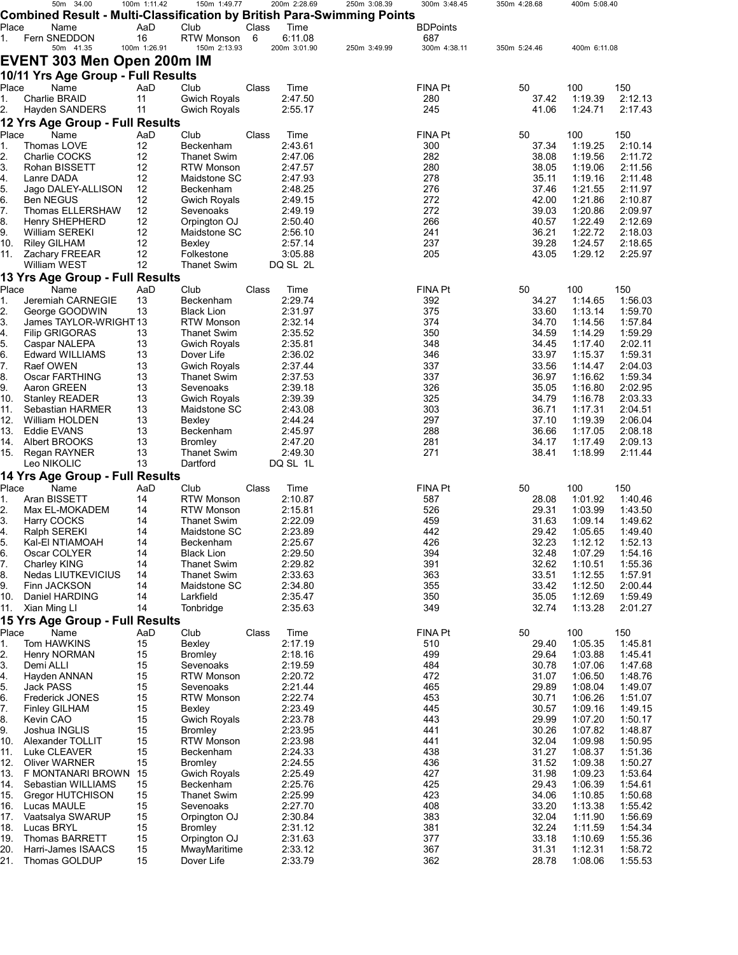|                | 50m 34.00                                                              | 100m 1:11.42       | 150m 1:49.77                             |       | 200m 2:28.69            | 250m 3:08.39 | 300m 3:48.45          | 350m 4:28.68   | 400m 5:08.40       |                    |
|----------------|------------------------------------------------------------------------|--------------------|------------------------------------------|-------|-------------------------|--------------|-----------------------|----------------|--------------------|--------------------|
|                | Combined Result - Multi-Classification by British Para-Swimming Points |                    |                                          |       |                         |              |                       |                |                    |                    |
| Place          | Name                                                                   | AaD                | Club                                     | Class | Time                    |              | <b>BDPoints</b>       |                |                    |                    |
| 1.             | Fern SNEDDON<br>50m 41.35                                              | 16<br>100m 1:26.91 | RTW Monson<br>150m 2:13.93               | 6     | 6:11.08<br>200m 3:01.90 | 250m 3:49.99 | 687<br>300m 4:38.11   | 350m 5:24.46   | 400m 6:11.08       |                    |
|                |                                                                        |                    |                                          |       |                         |              |                       |                |                    |                    |
|                | EVENT 303 Men Open 200m IM                                             |                    |                                          |       |                         |              |                       |                |                    |                    |
|                | 10/11 Yrs Age Group - Full Results                                     |                    |                                          |       |                         |              |                       |                |                    |                    |
| Place          | Name                                                                   | AaD                | Club                                     | Class | Time                    |              | FINA Pt               | 50             | 100                | 150                |
| 1.             | <b>Charlie BRAID</b>                                                   | 11                 | <b>Gwich Royals</b>                      |       | 2:47.50                 |              | 280                   | 37.42          | 1:19.39            | 2:12.13            |
| 2 <sub>1</sub> | Hayden SANDERS                                                         | 11                 | <b>Gwich Royals</b>                      |       | 2:55.17                 |              | 245                   | 41.06          | 1:24.71            | 2:17.43            |
|                | 12 Yrs Age Group - Full Results                                        |                    |                                          |       |                         |              |                       |                |                    |                    |
| Place<br>1.    | Name<br>Thomas LOVE                                                    | AaD<br>12          | Club<br>Beckenham                        | Class | Time<br>2:43.61         |              | <b>FINA Pt</b><br>300 | 50<br>37.34    | 100<br>1:19.25     | 150<br>2:10.14     |
| 2.             | Charlie COCKS                                                          | 12                 | <b>Thanet Swim</b>                       |       | 2:47.06                 |              | 282                   | 38.08          | 1:19.56            | 2:11.72            |
| 3.             | Rohan BISSETT                                                          | 12                 | <b>RTW Monson</b>                        |       | 2:47.57                 |              | 280                   | 38.05          | 1:19.06            | 2:11.56            |
| 4.             | Lanre DADA                                                             | 12                 | Maidstone SC                             |       | 2:47.93                 |              | 278                   | 35.11          | 1:19.16            | 2:11.48            |
| 5.             | Jago DALEY-ALLISON                                                     | 12                 | Beckenham                                |       | 2:48.25                 |              | 276                   | 37.46          | 1:21.55            | 2:11.97            |
| 6.             | <b>Ben NEGUS</b>                                                       | 12                 | <b>Gwich Royals</b>                      |       | 2:49.15                 |              | 272                   | 42.00          | 1:21.86            | 2:10.87            |
| 7.             | Thomas ELLERSHAW                                                       | 12                 | Sevenoaks                                |       | 2:49.19                 |              | 272                   | 39.03          | 1:20.86            | 2:09.97            |
| 8.             | Henry SHEPHERD                                                         | 12<br>12           | Orpington OJ                             |       | 2:50.40                 |              | 266<br>241            | 40.57<br>36.21 | 1:22.49<br>1:22.72 | 2:12.69<br>2:18.03 |
| 9.<br>10.      | William SEREKI<br><b>Riley GILHAM</b>                                  | 12                 | Maidstone SC<br>Bexley                   |       | 2:56.10<br>2:57.14      |              | 237                   | 39.28          | 1:24.57            | 2:18.65            |
| 11.            | Zachary FREEAR                                                         | 12                 | Folkestone                               |       | 3:05.88                 |              | 205                   | 43.05          | 1:29.12            | 2:25.97            |
|                | William WEST                                                           | 12                 | <b>Thanet Swim</b>                       |       | DQ SL 2L                |              |                       |                |                    |                    |
|                | 13 Yrs Age Group - Full Results                                        |                    |                                          |       |                         |              |                       |                |                    |                    |
| Place          | Name                                                                   | AaD                | Club                                     | Class | Time                    |              | FINA Pt               | 50             | 100                | 150                |
| 1.             | Jeremiah CARNEGIE                                                      | 13                 | Beckenham                                |       | 2:29.74                 |              | 392                   | 34.27          | 1:14.65            | 1:56.03            |
| 2.             | George GOODWIN                                                         | 13                 | Black Lion                               |       | 2:31.97                 |              | 375                   | 33.60          | 1:13.14            | 1:59.70            |
| 3.             | James TAYLOR-WRIGHT13                                                  |                    | <b>RTW Monson</b>                        |       | 2:32.14                 |              | 374                   | 34.70          | 1:14.56            | 1:57.84            |
| 4.             | <b>Filip GRIGORAS</b>                                                  | 13                 | <b>Thanet Swim</b>                       |       | 2:35.52                 |              | 350                   | 34.59          | 1:14.29            | 1:59.29            |
| 5.             | Caspar NALEPA                                                          | 13                 | <b>Gwich Royals</b>                      |       | 2:35.81                 |              | 348                   | 34.45          | 1:17.40            | 2:02.11            |
| 6.<br>7.       | <b>Edward WILLIAMS</b><br>Raef OWEN                                    | 13<br>13           | Dover Life<br><b>Gwich Royals</b>        |       | 2:36.02<br>2:37.44      |              | 346<br>337            | 33.97<br>33.56 | 1:15.37<br>1:14.47 | 1:59.31<br>2:04.03 |
| 8.             | Oscar FARTHING                                                         | 13                 | <b>Thanet Swim</b>                       |       | 2:37.53                 |              | 337                   | 36.97          | 1:16.62            | 1:59.34            |
| 9.             | Aaron GREEN                                                            | 13                 | Sevenoaks                                |       | 2:39.18                 |              | 326                   | 35.05          | 1:16.80            | 2:02.95            |
| 10.            | <b>Stanley READER</b>                                                  | 13                 | <b>Gwich Royals</b>                      |       | 2:39.39                 |              | 325                   | 34.79          | 1:16.78            | 2:03.33            |
| 11.            | Sebastian HARMER                                                       | 13                 | Maidstone SC                             |       | 2:43.08                 |              | 303                   | 36.71          | 1:17.31            | 2:04.51            |
| 12.            | William HOLDEN                                                         | 13                 | Bexley                                   |       | 2:44.24                 |              | 297                   | 37.10          | 1:19.39            | 2:06.04            |
| 13.            | Eddie EVANS                                                            | 13                 | Beckenham                                |       | 2:45.97                 |              | 288                   | 36.66          | 1:17.05            | 2:08.18            |
| 14.            | Albert BROOKS                                                          | 13                 | <b>Bromley</b>                           |       | 2:47.20                 |              | 281<br>271            | 34.17          | 1:17.49            | 2:09.13            |
| 15.            | Regan RAYNER<br>Leo NIKOLIC                                            | 13<br>13           | <b>Thanet Swim</b><br>Dartford           |       | 2:49.30<br>DQ SL 1L     |              |                       | 38.41          | 1:18.99            | 2:11.44            |
|                | 14 Yrs Age Group - Full Results                                        |                    |                                          |       |                         |              |                       |                |                    |                    |
| Place          | Name                                                                   | AaD                | Club                                     | Class | Time                    |              | <b>FINA Pt</b>        | 50             | 100                | 150                |
| 1.             | Aran BISSETT                                                           | 14                 | <b>RTW Monson</b>                        |       | 2:10.87                 |              | 587                   | 28.08          | 1:01.92            | 1:40.46            |
| 2.             | Max EL-MOKADEM                                                         | 14                 | <b>RTW Monson</b>                        |       | 2:15.81                 |              | 526                   | 29.31          | 1:03.99            | 1:43.50            |
| 3.             | Harry COCKS                                                            | 14                 | <b>Thanet Swim</b>                       |       | 2:22.09                 |              | 459                   | 31.63          | 1:09.14            | 1:49.62            |
| 4.             | Ralph SEREKI                                                           | 14                 | Maidstone SC                             |       | 2:23.89                 |              | 442                   | 29.42          | 1:05.65            | 1:49.40            |
| ს.             | Kal-EI NTIAMOAH                                                        | 14                 | Beckenham                                |       | 2:25.67                 |              | 426                   | 32.23          | 1:12.12            | 1:52.13            |
| 6.             | Oscar COLYER                                                           | 14                 | <b>Black Lion</b>                        |       | 2:29.50                 |              | 394                   | 32.48          | 1:07.29            | 1:54.16            |
| 7.<br>8.       | Charley KING<br>Nedas LIUTKEVICIUS                                     | 14<br>14           | <b>Thanet Swim</b><br><b>Thanet Swim</b> |       | 2:29.82<br>2:33.63      |              | 391<br>363            | 32.62<br>33.51 | 1:10.51<br>1:12.55 | 1:55.36<br>1:57.91 |
| 9.             | Finn JACKSON                                                           | 14                 | Maidstone SC                             |       | 2:34.80                 |              | 355                   | 33.42          | 1:12.50            | 2:00.44            |
| 10.            | Daniel HARDING                                                         | 14                 | Larkfield                                |       | 2:35.47                 |              | 350                   | 35.05          | 1:12.69            | 1.59.49            |
| 11.            | Xian Ming LI                                                           | 14                 | Tonbridge                                |       | 2:35.63                 |              | 349                   | 32.74          | 1:13.28            | 2:01.27            |
|                | 15 Yrs Age Group - Full Results                                        |                    |                                          |       |                         |              |                       |                |                    |                    |
| Place          | Name                                                                   | AaD                | Club                                     | Class | Time                    |              | <b>FINA Pt</b>        | 50             | 100                | 150                |
| 1.             | Tom HAWKINS                                                            | 15                 | Bexley                                   |       | 2:17.19                 |              | 510                   | 29.40          | 1:05.35            | 1:45.81            |
| 2.             | Henry NORMAN                                                           | 15                 | <b>Bromley</b>                           |       | 2:18.16                 |              | 499                   | 29.64          | 1:03.88            | 1:45.41            |
| 3.             | Demi ALLI                                                              | 15                 | Sevenoaks                                |       | 2:19.59<br>2:20.72      |              | 484                   | 30.78          | 1:07.06            | 1:47.68            |
| 4.<br>5.       | Hayden ANNAN<br>Jack PASS                                              | 15<br>15           | <b>RTW Monson</b><br>Sevenoaks           |       | 2:21.44                 |              | 472<br>465            | 31.07<br>29.89 | 1:06.50<br>1:08.04 | 1:48.76<br>1:49.07 |
| 6.             | <b>Frederick JONES</b>                                                 | 15                 | <b>RTW Monson</b>                        |       | 2:22.74                 |              | 453                   | 30.71          | 1:06.26            | 1:51.07            |
| 7 <sub>1</sub> | <b>Finley GILHAM</b>                                                   | 15                 | Bexley                                   |       | 2:23.49                 |              | 445                   | 30.57          | 1:09.16            | 1:49.15            |
| 8.             | Kevin CAO                                                              | 15                 | <b>Gwich Royals</b>                      |       | 2:23.78                 |              | 443                   | 29.99          | 1:07.20            | 1:50.17            |
| 9.             | Joshua INGLIS                                                          | 15                 | <b>Bromley</b>                           |       | 2:23.95                 |              | 441                   | 30.26          | 1:07.82            | 1:48.87            |
| 10.            | Alexander TOLLIT                                                       | 15                 | <b>RTW Monson</b>                        |       | 2:23.98                 |              | 441                   | 32.04          | 1:09.98            | 1:50.95            |
| 11.            | Luke CLEAVER                                                           | 15                 | Beckenham                                |       | 2:24.33                 |              | 438                   | 31.27          | 1:08.37            | 1:51.36            |
| 12.            | <b>Oliver WARNER</b>                                                   | 15                 | <b>Bromley</b>                           |       | 2:24.55                 |              | 436                   | 31.52          | 1:09.38            | 1:50.27            |
| 13.<br>14.     | F MONTANARI BROWN<br>Sebastian WILLIAMS                                | 15<br>15           | <b>Gwich Royals</b><br>Beckenham         |       | 2:25.49<br>2:25.76      |              | 427<br>425            | 31.98<br>29.43 | 1:09.23<br>1:06.39 | 1:53.64<br>1:54.61 |
| 15.            | Gregor HUTCHISON                                                       | 15                 | <b>Thanet Swim</b>                       |       | 2:25.99                 |              | 423                   | 34.06          | 1:10.85            | 1:50.68            |
| 16.            | Lucas MAULE                                                            | 15                 | Sevenoaks                                |       | 2:27.70                 |              | 408                   | 33.20          | 1:13.38            | 1:55.42            |
| 17.            | Vaatsalya SWARUP                                                       | 15                 | Orpington OJ                             |       | 2:30.84                 |              | 383                   | 32.04          | 1:11.90            | 1:56.69            |
| 18.            | Lucas BRYL                                                             | 15                 | <b>Bromley</b>                           |       | 2:31.12                 |              | 381                   | 32.24          | 1:11.59            | 1:54.34            |
| 19.            | Thomas BARRETT                                                         | 15                 | Orpington OJ                             |       | 2:31.63                 |              | 377                   | 33.18          | 1:10.69            | 1:55.36            |
| 20.            | Harri-James ISAACS                                                     | 15                 | MwayMaritime                             |       | 2:33.12                 |              | 367                   | 31.31          | 1:12.31            | 1:58.72            |
| 21.            | Thomas GOLDUP                                                          | 15                 | Dover Life                               |       | 2:33.79                 |              | 362                   | 28.78          | 1:08.06            | 1:55.53            |